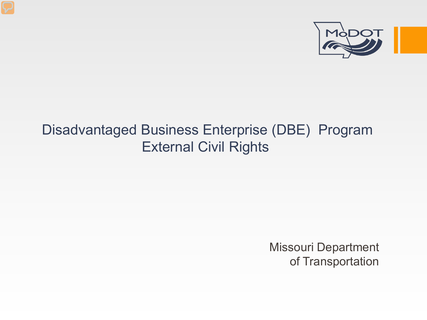

#### Disadvantaged Business Enterprise (DBE) Program External Civil Rights

Missouri Department of Transportation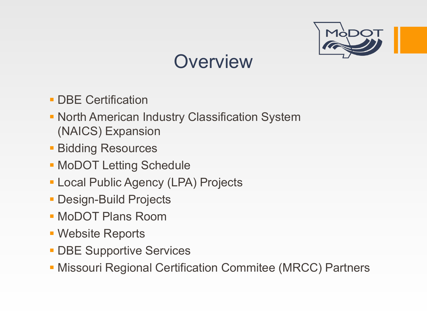



- **DBE Certification**
- **North American Industry Classification System** (NAICS) Expansion
- **Bidding Resources**
- **MoDOT Letting Schedule**
- **Local Public Agency (LPA) Projects**
- Design-Build Projects
- MoDOT Plans Room
- Website Reports
- **DBE Supportive Services**
- **Missouri Regional Certification Commitee (MRCC) Partners**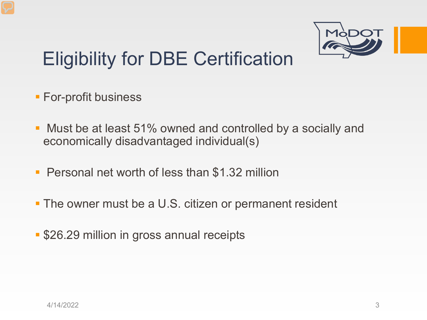

# Eligibility for DBE Certification

- **For-profit business**
- **Nust be at least 51% owned and controlled by a socially and** economically disadvantaged individual(s)
- **Personal net worth of less than \$1.32 million**
- **The owner must be a U.S. citizen or permanent resident**
- **S26.29 million in gross annual receipts**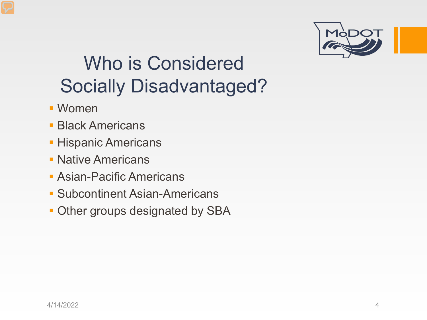

# Who is Considered Socially Disadvantaged?

- Women
- **Black Americans**
- **Hispanic Americans**
- **Native Americans**
- Asian-Pacific Americans
- **Subcontinent Asian-Americans**
- **Other groups designated by SBA**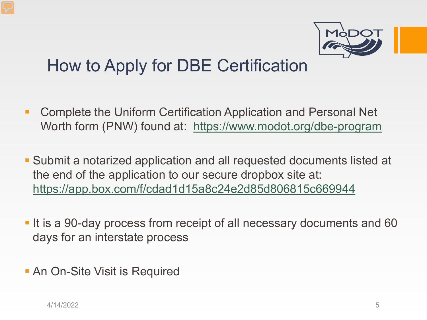

# How to Apply for DBE Certification

- **EX Complete the Uniform Certification Application and Personal Net** Worth form (PNW) found at: <https://www.modot.org/dbe-program>
- Submit a notarized application and all requested documents listed at the end of the application to our secure dropbox site at: [https://app.box.com/f/cdad1d15a8c24e2d85d806815c669944](https://protect2.fireeye.com/v1/url?k=45d91203-1a422b35-45dbdec9-0cc47a6d17ce-e379ceb406f2a008&q=1&e=36241c4b-cf5d-47c1-9d40-9f97ac355254&u=https%3A%2F%2Fapp.box.com%2Ff%2Fcdad1d15a8c24e2d85d806815c669944)
- If is a 90-day process from receipt of all necessary documents and 60 days for an interstate process
- **An On-Site Visit is Required**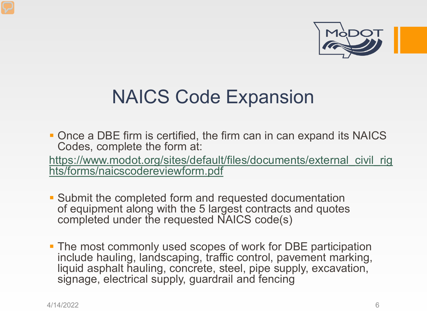

## NAICS Code Expansion

 Once a DBE firm is certified, the firm can in can expand its NAICS Codes, complete the form at:

[https://www.modot.org/sites/default/files/documents/external\\_civil\\_rig](https://www.modot.org/sites/default/files/documents/external_civil_rights/forms/naicscodereviewform.pdf) hts/forms/naicscodereviewform.pdf

- Submit the completed form and requested documentation of equipment along with the 5 largest contracts and quotes completed under the requested NAICS code(s)
- **The most commonly used scopes of work for DBE participation** include hauling, landscaping, traffic control, pavement marking, liquid asphalt hauling, concrete, steel, pipe supply, excavation, signage, electrical supply, guardrail and fencing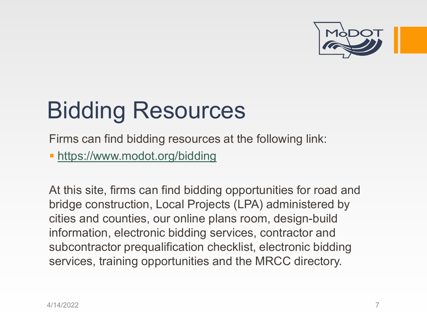

# Bidding Resources

Firms can find bidding resources at the following link:

**<https://www.modot.org/bidding>** 

At this site, firms can find bidding opportunities for road and bridge construction, Local Projects (LPA) administered by cities and counties, our online plans room, design-build information, electronic bidding services, contractor and subcontractor prequalification checklist, electronic bidding services, training opportunities and the MRCC directory.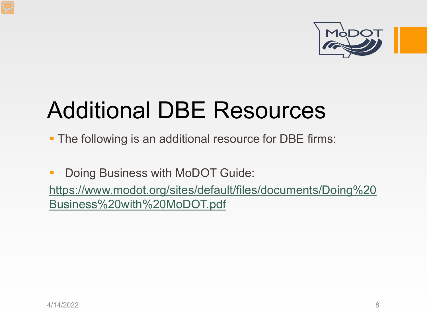

# Additional DBE Resources

- **The following is an additional resource for DBE firms:**
- **-** Doing Business with MoDOT Guide:

[https://www.modot.org/sites/default/files/documents/Doing%20](https://www.modot.org/sites/default/files/documents/Doing%20Business%20with%20MoDOT.pdf) Business%20with%20MoDOT.pdf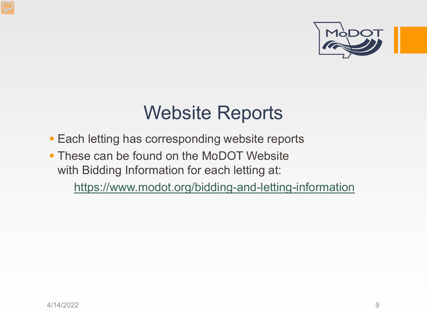

## Website Reports

- **Each letting has corresponding website reports**
- **These can be found on the MoDOT Website** with Bidding Information for each letting at:

<https://www.modot.org/bidding-and-letting-information>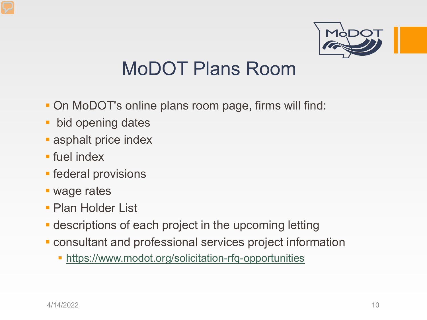

### MoDOT Plans Room

- On MoDOT's online plans room page, firms will find:
- **bid opening dates**
- **asphalt price index**
- **fuel index**
- **Federal provisions**
- **wage rates**
- **Plan Holder List**
- **descriptions of each project in the upcoming letting**
- **Consultant and professional services project information** 
	- **<https://www.modot.org/solicitation-rfq-opportunities>**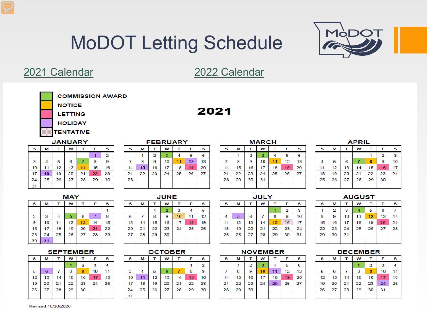# MoDOT Letting Schedule



#### [2021 Calendar](https://modotweb.modot.mo.gov/BidLettingPlansRoom/Letting/ViewStream/2658?type=general_info) [2022 Calendar](https://modotweb.modot.mo.gov/BidLettingPlansRoom/Letting/ViewStream/2719?type=general_info)

2021



|    | JANUARY |    |    |    |    |    |  |  |  |  |
|----|---------|----|----|----|----|----|--|--|--|--|
| s  | Ë       | s  |    |    |    |    |  |  |  |  |
|    |         |    |    |    | 1  | 2  |  |  |  |  |
| 3  | 4       | 5  | 6  |    | 8  | 9  |  |  |  |  |
| 10 | 11      | 12 | 13 | 14 | 15 | 16 |  |  |  |  |
| 17 | 18      | 19 | 20 | 21 | 22 | 23 |  |  |  |  |
| 24 | 25      | 26 | 27 | 28 | 29 | 30 |  |  |  |  |
| 31 |         |    |    |    |    |    |  |  |  |  |

#### **FEBRUARY**

| S  | М  |    | w  |    | F  | s  |
|----|----|----|----|----|----|----|
|    |    | 2  | 3  | 4  | 5  | 6  |
| 7  | 8  | 9  | 10 | 11 | 12 | 13 |
| 14 | 15 | 16 | 17 | 18 | 19 | 20 |
| 21 | 22 | 23 | 24 | 25 | 26 | 27 |
| 28 |    |    |    |    |    |    |
|    |    |    |    |    |    |    |

**JUNE**  $\overline{\mathsf{w}}$ 

16

 $\mathbf{T}$ F.

 $\overline{3}$  $\overline{4}$ 

 $10<sup>10</sup>$  $11$ 

 $17<sup>°</sup>$ 18 19

24 25  $\mathbf{s}$ 

5

 $12$ 

26

 $\mathbf{s}$ 

 $\mathbf{T}$ 

 $\mathbf{1}$  $\overline{2}$ 

8  $\overline{9}$ 

15

22 23

29 30

s

6

13

20

27

M

 $\overline{7}$ 

 $14$ 

21

28

| MAY |             |    |    |    |    |    |  |
|-----|-------------|----|----|----|----|----|--|
| s   | М<br>F<br>w |    |    |    |    |    |  |
|     |             |    |    |    |    |    |  |
| 2   | 3           | 4  | 5  | 6  |    | 8  |  |
| 9   | 10          | 11 | 12 | 13 | 14 | 15 |  |
| 16  | 17          | 18 | 19 | 20 | 21 | 22 |  |
| 23  | 24          | 25 | 26 | 27 | 28 | 29 |  |
| 30  | 31          |    |    |    |    |    |  |

and a single

|  | SEPTEMBER |  |
|--|-----------|--|
|  |           |  |

| S  | М  |    | w  |    | F  | S  |
|----|----|----|----|----|----|----|
|    |    |    |    | 2  | 3  | 4  |
| 5  | 6  |    | 8  | 9  | 10 | 11 |
| 12 | 13 | 14 | 15 | 16 | 17 | 18 |
| 19 | 20 | 21 | 22 | 23 | 24 | 25 |
| 26 | 27 | 28 | 29 | 30 |    |    |
|    |    |    |    |    |    |    |

| <b>OCTOBER</b> |    |    |    |    |    |                |  |
|----------------|----|----|----|----|----|----------------|--|
| S              | М  | т  | w  | T  | F  | s              |  |
|                |    |    |    |    |    | $\overline{2}$ |  |
| 3              | 4  | 5  | 6  | 7  | 8  | 9              |  |
| 10             | 11 | 12 | 13 | 14 | 15 | 16             |  |
| 17             | 18 | 19 | 20 | 21 | 22 | 23             |  |
| 24             | 25 | 26 | 27 | 28 | 29 | 30             |  |
| 31             |    |    |    |    |    |                |  |

|    |    |                | <b>MARCH</b> |    |    |    |
|----|----|----------------|--------------|----|----|----|
| S  | М  | т              | w            |    | F  | s  |
|    |    | $\overline{2}$ | 3            | 4  | 5  | 6  |
| 7  | 8  | 9              | 10           | 11 | 12 | 13 |
| 14 | 15 | 16             | 17           | 18 | 19 | 20 |
| 21 | 22 | 23             | 24           | 25 | 26 | 27 |
| 28 | 29 | 30             | 31           |    |    |    |
|    |    |                |              |    |    |    |

| s  | М  |    | w  |    | F  | S  |
|----|----|----|----|----|----|----|
|    |    |    |    |    | 2  | 3  |
| 4  | 5  | 6  |    | 8  | 9  | 10 |
| 11 | 12 | 13 | 14 | 15 | 16 | 17 |
| 18 | 19 | 20 | 21 | 22 | 23 | 24 |
| 25 | 26 | 27 | 28 | 29 | 30 |    |
|    |    |    |    |    |    |    |

|    |    |    | JULY |    |    |    |
|----|----|----|------|----|----|----|
| S  | М  |    | w    |    | F  | s  |
|    |    |    |      | 1  | 2  | 3  |
| 4  | 5  | 6  |      | 8  | 9  | 10 |
| 11 | 12 | 13 | 14   | 15 | 16 | 17 |
| 18 | 19 | 20 | 21   | 22 | 23 | 24 |
| 25 | 26 | 27 | 28   | 29 | 30 | 31 |
|    |    |    |      |    |    |    |

#### **NOVEMBER**

| S  | М  |    | w  |    | F  | s  |
|----|----|----|----|----|----|----|
|    |    | 2  | 3  | 4  | 5  | 6  |
|    | 8  | 9  | 10 | 11 | 12 | 13 |
| 14 | 15 | 16 | 17 | 18 | 19 | 20 |
| 21 | 22 | 23 | 24 | 25 | 25 | 27 |
| 28 | 29 | 30 |    |    |    |    |
|    |    |    |    |    |    |    |

#### **AUGUST**

| s  | М  |    | w  |    | F  | s  |
|----|----|----|----|----|----|----|
|    | 2  | 3  | 4  | 5  | 6  |    |
| 8  | 9  | 10 | 11 | 12 | 13 | 14 |
| 15 | 16 | 17 | 18 | 19 | 20 | 21 |
| 22 | 23 | 24 | 25 | 26 | 27 | 28 |
| 29 | 30 | 31 |    |    |    |    |
|    |    |    |    |    |    |    |

#### **DECEMBER**

| S  | М  |    | W  |    | F  | s  |
|----|----|----|----|----|----|----|
|    |    |    | 1  | 2  | 3  | 4  |
| 5  | 6  |    | 8  | 9  | 10 | 11 |
| 12 | 13 | 14 | 15 | 16 | 17 | 18 |
| 19 | 20 | 21 | 22 | 23 | 24 | 25 |
| 26 | 27 | 28 | 29 | 30 | 31 |    |
|    |    |    |    |    |    |    |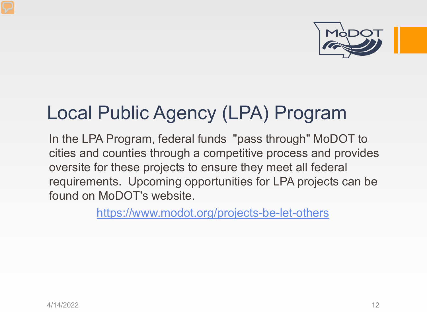

## Local Public Agency (LPA) Program

In the LPA Program, federal funds "pass through" MoDOT to cities and counties through a competitive process and provides oversite for these projects to ensure they meet all federal requirements. Upcoming opportunities for LPA projects can be found on MoDOT's website.

<https://www.modot.org/projects-be-let-others>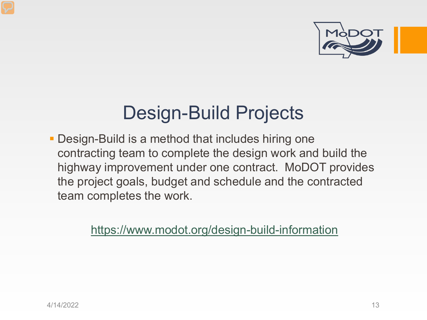

## Design-Build Projects

**- Design-Build is a method that includes hiring one** contracting team to complete the design work and build the highway improvement under one contract. MoDOT provides the project goals, budget and schedule and the contracted team completes the work.

<https://www.modot.org/design-build-information>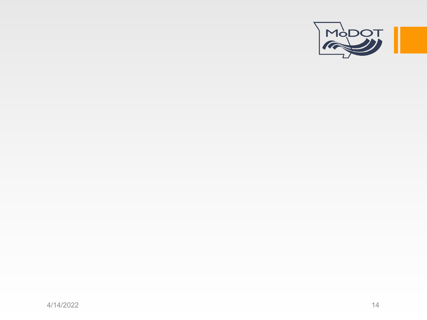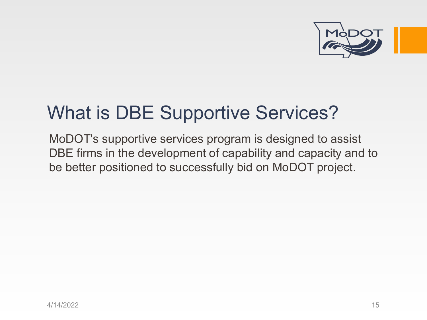

## What is DBE Supportive Services?

MoDOT's supportive services program is designed to assist DBE firms in the development of capability and capacity and to be better positioned to successfully bid on MoDOT project.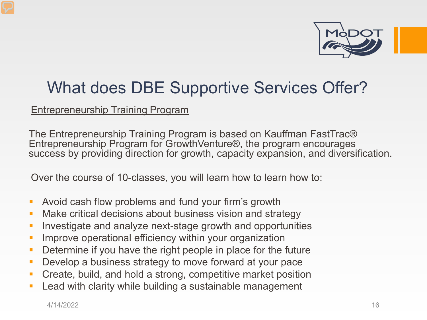

#### What does DBE Supportive Services Offer?

Entrepreneurship Training Program

The Entrepreneurship Training Program is based on Kauffman FastTrac® Entrepreneurship Program for GrowthVenture®, the program encourages success by providing direction for growth, capacity expansion, and diversification.

Over the course of 10-classes, you will learn how to learn how to:

- Avoid cash flow problems and fund your firm's growth
- Make critical decisions about business vision and strategy
- **Investigate and analyze next-stage growth and opportunities**
- Improve operational efficiency within your organization
- Determine if you have the right people in place for the future
- **Develop a business strategy to move forward at your pace**
- Create, build, and hold a strong, competitive market position
- Lead with clarity while building a sustainable management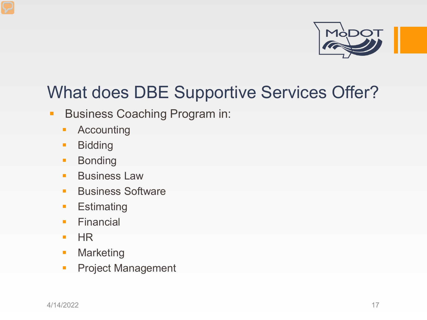

#### What does DBE Supportive Services Offer?

- Business Coaching Program in:
	- **Accounting**
	- **Bidding**
	- **Bonding**
	- **Business Law**
	- **Business Software**
	- **Estimating**
	- **Financial**
	- $\blacksquare$  HR
	- **•** Marketing
	- **Project Management**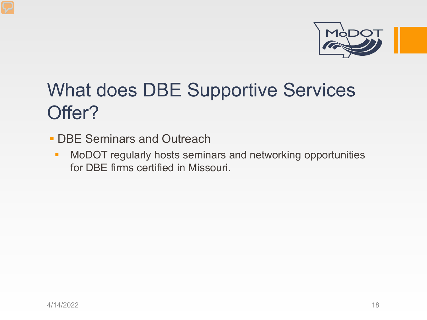

# What does DBE Supportive Services Offer?

- **DBE Seminars and Outreach** 
	- **MoDOT regularly hosts seminars and networking opportunities** for DBE firms certified in Missouri.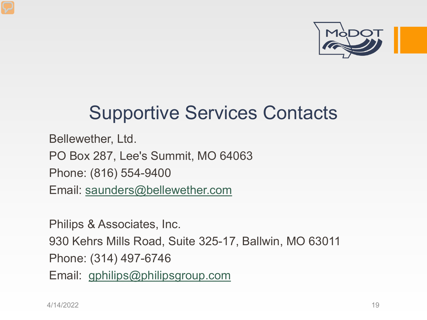

## Supportive Services Contacts

Bellewether, Ltd. PO Box 287, Lee's Summit, MO 64063 Phone: (816) 554-9400 Email: [saunders@bellewether.com](mailto:saunders@bellewether.com)

Philips & Associates, Inc. 930 Kehrs Mills Road, Suite 325-17, Ballwin, MO 63011 Phone: (314) 497-6746 Email: [gphilips@philipsgroup.com](mailto:gphilips@philipsgroup.com)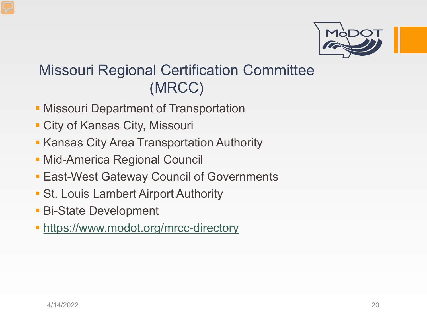

#### Missouri Regional Certification Committee (MRCC)

- **Missouri Department of Transportation**
- City of Kansas City, Missouri
- **Kansas City Area Transportation Authority**
- Mid-America Regional Council
- **East-West Gateway Council of Governments**
- **St. Louis Lambert Airport Authority**
- **Bi-State Development**
- <https://www.modot.org/mrcc-directory>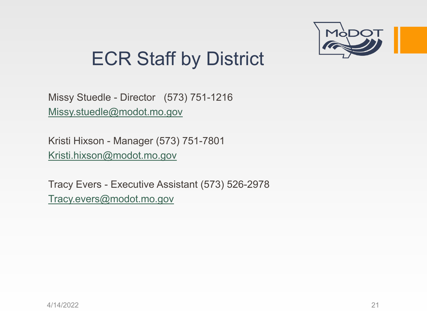

Missy Stuedle - Director (573) 751-1216 [Missy.stuedle@modot.mo.gov](mailto:Melissa.steudle@mdot.mo.gov)

Kristi Hixson - Manager (573) 751-7801 [Kristi.hixson@modot.mo.gov](mailto:Kristi.G.Hixson@modot.mo.gov)

Tracy Evers - Executive Assistant (573) 526-2978 [Tracy.evers@modot.mo.gov](mailto:Tracy.Evers@modot.mo.gov)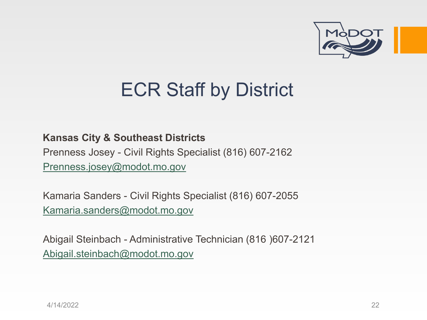

**Kansas City & Southeast Districts**

Prenness Josey - Civil Rights Specialist (816) 607-2162 [Prenness.josey@modot.mo.gov](mailto:Prenness.josey@modot.mo.gov)

Kamaria Sanders - Civil Rights Specialist (816) 607-2055 [Kamaria.sanders@modot.mo.gov](mailto:Kamaria.Sanders@modot.mo.gov)

Abigail Steinbach - Administrative Technician (816 )607-2121 [Abigail.steinbach@modot.mo.gov](mailto:Abigail.steinbach@modot.mo.gov)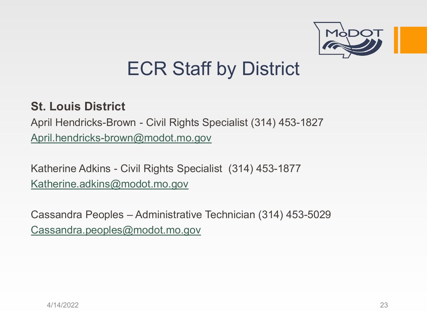

#### **St. Louis District**

April Hendricks-Brown - Civil Rights Specialist (314) 453-1827 [April.hendricks-brown@modot.mo.gov](mailto:April.Hendricks-Brown@modot.mo.gov)

Katherine Adkins - Civil Rights Specialist (314) 453-1877 [Katherine.adkins@modot.mo.gov](mailto:Katherine.Adkins@modot.mo.gov)

Cassandra Peoples – Administrative Technician (314) 453-5029 [Cassandra.peoples@modot.mo.gov](mailto:Cassandra.peoples@modot.mo.gov)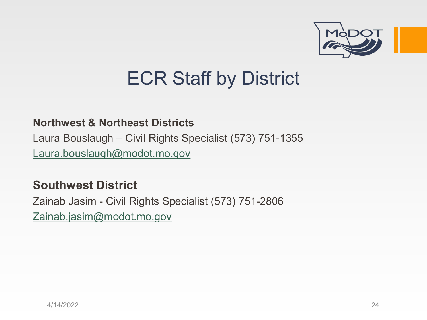

#### **Northwest & Northeast Districts**

Laura Bouslaugh – Civil Rights Specialist (573) 751-1355 [Laura.bouslaugh@modot.mo.gov](mailto:Laura.Bouslaugh@modot.mo.gov)

#### **Southwest District**

Zainab Jasim - Civil Rights Specialist (573) 751-2806 [Zainab.jasim@modot.mo.gov](mailto:Zainab.Jasim@modot.mo.gov)